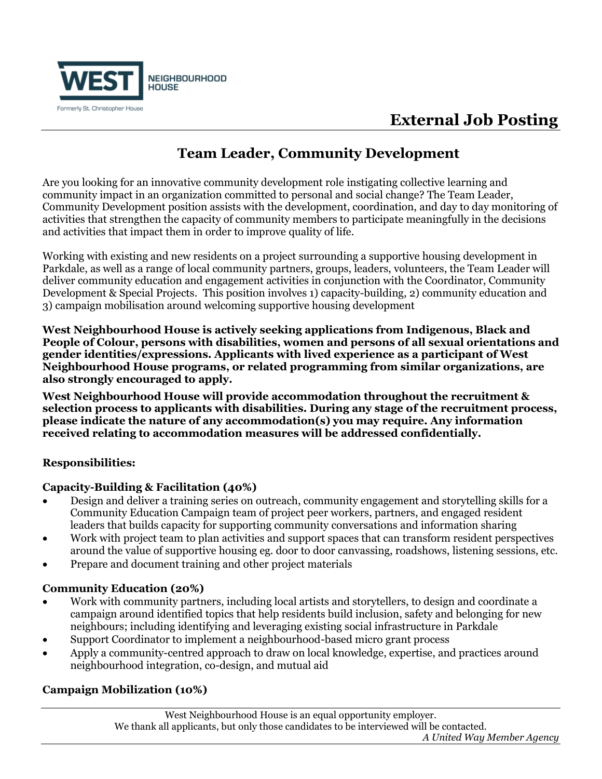

# **External Job Posting**

# **Team Leader, Community Development**

Are you looking for an innovative community development role instigating collective learning and community impact in an organization committed to personal and social change? The Team Leader, Community Development position assists with the development, coordination, and day to day monitoring of activities that strengthen the capacity of community members to participate meaningfully in the decisions and activities that impact them in order to improve quality of life.

Working with existing and new residents on a project surrounding a supportive housing development in Parkdale, as well as a range of local community partners, groups, leaders, volunteers, the Team Leader will deliver community education and engagement activities in conjunction with the Coordinator, Community Development & Special Projects. This position involves 1) capacity-building, 2) community education and 3) campaign mobilisation around welcoming supportive housing development

**West Neighbourhood House is actively seeking applications from Indigenous, Black and People of Colour, persons with disabilities, women and persons of all sexual orientations and gender identities/expressions. Applicants with lived experience as a participant of West Neighbourhood House programs, or related programming from similar organizations, are also strongly encouraged to apply.** 

**West Neighbourhood House will provide accommodation throughout the recruitment & selection process to applicants with disabilities. During any stage of the recruitment process, please indicate the nature of any accommodation(s) you may require. Any information received relating to accommodation measures will be addressed confidentially.**

## **Responsibilities:**

### **Capacity-Building & Facilitation (40%)**

- Design and deliver a training series on outreach, community engagement and storytelling skills for a Community Education Campaign team of project peer workers, partners, and engaged resident leaders that builds capacity for supporting community conversations and information sharing
- Work with project team to plan activities and support spaces that can transform resident perspectives around the value of supportive housing eg. door to door canvassing, roadshows, listening sessions, etc.
- Prepare and document training and other project materials

### **Community Education (20%)**

- Work with community partners, including local artists and storytellers, to design and coordinate a campaign around identified topics that help residents build inclusion, safety and belonging for new neighbours; including identifying and leveraging existing social infrastructure in Parkdale
- Support Coordinator to implement a neighbourhood-based micro grant process
- Apply a community-centred approach to draw on local knowledge, expertise, and practices around neighbourhood integration, co-design, and mutual aid

### **Campaign Mobilization (10%)**

West Neighbourhood House is an equal opportunity employer. We thank all applicants, but only those candidates to be interviewed will be contacted. *A United Way Member Agency*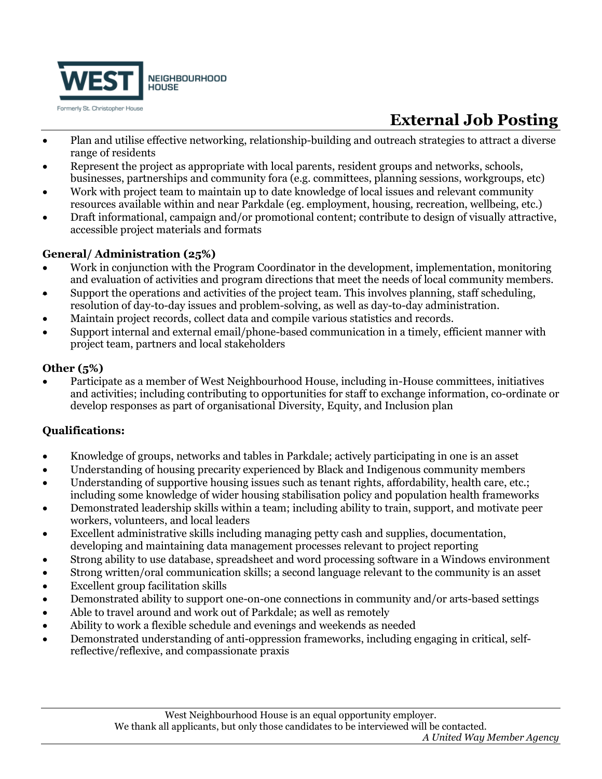

# **External Job Posting**

- Plan and utilise effective networking, relationship-building and outreach strategies to attract a diverse range of residents
- Represent the project as appropriate with local parents, resident groups and networks, schools, businesses, partnerships and community fora (e.g. committees, planning sessions, workgroups, etc)
- Work with project team to maintain up to date knowledge of local issues and relevant community resources available within and near Parkdale (eg. employment, housing, recreation, wellbeing, etc.)
- Draft informational, campaign and/or promotional content; contribute to design of visually attractive, accessible project materials and formats

## **General/ Administration (25%)**

- Work in conjunction with the Program Coordinator in the development, implementation, monitoring and evaluation of activities and program directions that meet the needs of local community members.
- Support the operations and activities of the project team. This involves planning, staff scheduling, resolution of day-to-day issues and problem-solving, as well as day-to-day administration.
- Maintain project records, collect data and compile various statistics and records.
- Support internal and external email/phone-based communication in a timely, efficient manner with project team, partners and local stakeholders

## **Other (5%)**

• Participate as a member of West Neighbourhood House, including in-House committees, initiatives and activities; including contributing to opportunities for staff to exchange information, co-ordinate or develop responses as part of organisational Diversity, Equity, and Inclusion plan

## **Qualifications:**

- Knowledge of groups, networks and tables in Parkdale; actively participating in one is an asset
- Understanding of housing precarity experienced by Black and Indigenous community members
- Understanding of supportive housing issues such as tenant rights, affordability, health care, etc.; including some knowledge of wider housing stabilisation policy and population health frameworks
- Demonstrated leadership skills within a team; including ability to train, support, and motivate peer workers, volunteers, and local leaders
- Excellent administrative skills including managing petty cash and supplies, documentation, developing and maintaining data management processes relevant to project reporting
- Strong ability to use database, spreadsheet and word processing software in a Windows environment
- Strong written/oral communication skills; a second language relevant to the community is an asset
- Excellent group facilitation skills
- Demonstrated ability to support one-on-one connections in community and/or arts-based settings
- Able to travel around and work out of Parkdale; as well as remotely
- Ability to work a flexible schedule and evenings and weekends as needed
- Demonstrated understanding of anti-oppression frameworks, including engaging in critical, selfreflective/reflexive, and compassionate praxis